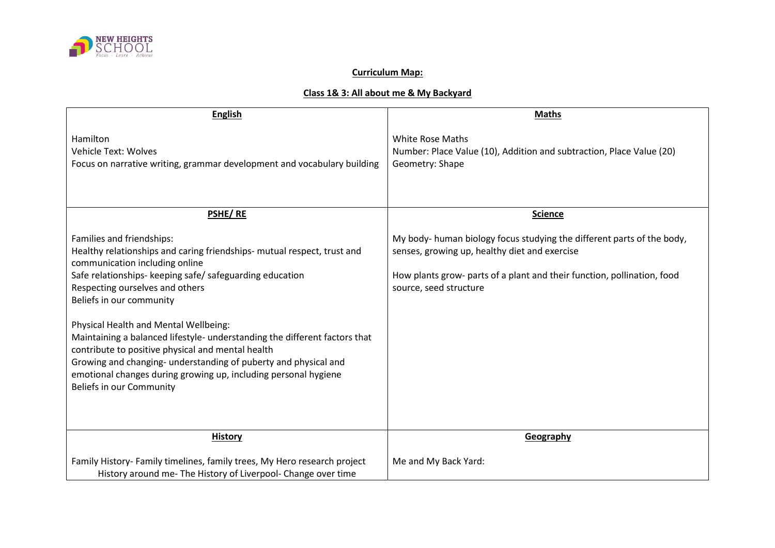

## **Curriculum Map:**

## **Class 1& 3: All about me & My Backyard**

| <b>English</b>                                                                                                                                                                                                                                                                                                                                                                                                                                                                                                                                                                                                         | <b>Maths</b>                                                                                                                                                                                                                 |
|------------------------------------------------------------------------------------------------------------------------------------------------------------------------------------------------------------------------------------------------------------------------------------------------------------------------------------------------------------------------------------------------------------------------------------------------------------------------------------------------------------------------------------------------------------------------------------------------------------------------|------------------------------------------------------------------------------------------------------------------------------------------------------------------------------------------------------------------------------|
| Hamilton<br><b>Vehicle Text: Wolves</b><br>Focus on narrative writing, grammar development and vocabulary building                                                                                                                                                                                                                                                                                                                                                                                                                                                                                                     | <b>White Rose Maths</b><br>Number: Place Value (10), Addition and subtraction, Place Value (20)<br>Geometry: Shape                                                                                                           |
| PSHE/RE                                                                                                                                                                                                                                                                                                                                                                                                                                                                                                                                                                                                                | <b>Science</b>                                                                                                                                                                                                               |
| Families and friendships:<br>Healthy relationships and caring friendships- mutual respect, trust and<br>communication including online<br>Safe relationships- keeping safe/ safeguarding education<br>Respecting ourselves and others<br>Beliefs in our community<br>Physical Health and Mental Wellbeing:<br>Maintaining a balanced lifestyle- understanding the different factors that<br>contribute to positive physical and mental health<br>Growing and changing- understanding of puberty and physical and<br>emotional changes during growing up, including personal hygiene<br><b>Beliefs in our Community</b> | My body- human biology focus studying the different parts of the body,<br>senses, growing up, healthy diet and exercise<br>How plants grow- parts of a plant and their function, pollination, food<br>source, seed structure |
| <b>History</b>                                                                                                                                                                                                                                                                                                                                                                                                                                                                                                                                                                                                         | Geography                                                                                                                                                                                                                    |
| Family History- Family timelines, family trees, My Hero research project<br>History around me- The History of Liverpool- Change over time                                                                                                                                                                                                                                                                                                                                                                                                                                                                              | Me and My Back Yard:                                                                                                                                                                                                         |